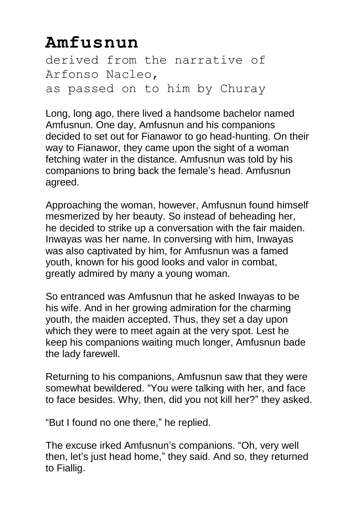## **Amfusnun**

derived from the narrative of Arfonso Nacleo, as passed on to him by Churay

Long, long ago, there lived a handsome bachelor named Amfusnun. One day, Amfusnun and his companions decided to set out for Fianawor to go head-hunting. On their way to Fianawor, they came upon the sight of a woman fetching water in the distance. Amfusnun was told by his companions to bring back the female's head. Amfusnun agreed.

Approaching the woman, however, Amfusnun found himself mesmerized by her beauty. So instead of beheading her, he decided to strike up a conversation with the fair maiden. Inwayas was her name. In conversing with him, Inwayas was also captivated by him, for Amfusnun was a famed youth, known for his good looks and valor in combat, greatly admired by many a young woman.

So entranced was Amfusnun that he asked Inwayas to be his wife. And in her growing admiration for the charming youth, the maiden accepted. Thus, they set a day upon which they were to meet again at the very spot. Lest he keep his companions waiting much longer, Amfusnun bade the lady farewell.

Returning to his companions, Amfusnun saw that they were somewhat bewildered. "You were talking with her, and face to face besides. Why, then, did you not kill her?" they asked.

"But I found no one there," he replied.

The excuse irked Amfusnun's companions. "Oh, very well then, let's just head home," they said. And so, they returned to Fiallig.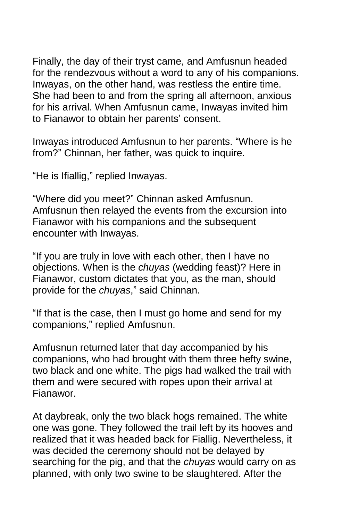Finally, the day of their tryst came, and Amfusnun headed for the rendezvous without a word to any of his companions. Inwayas, on the other hand, was restless the entire time. She had been to and from the spring all afternoon, anxious for his arrival. When Amfusnun came, Inwayas invited him to Fianawor to obtain her parents' consent.

Inwayas introduced Amfusnun to her parents. "Where is he from?" Chinnan, her father, was quick to inquire.

"He is Ifiallig," replied Inwayas.

"Where did you meet?" Chinnan asked Amfusnun. Amfusnun then relayed the events from the excursion into Fianawor with his companions and the subsequent encounter with Inwayas.

"If you are truly in love with each other, then I have no objections. When is the *chuyas* (wedding feast)? Here in Fianawor, custom dictates that you, as the man, should provide for the *chuyas*," said Chinnan.

"If that is the case, then I must go home and send for my companions," replied Amfusnun.

Amfusnun returned later that day accompanied by his companions, who had brought with them three hefty swine, two black and one white. The pigs had walked the trail with them and were secured with ropes upon their arrival at Fianawor.

At daybreak, only the two black hogs remained. The white one was gone. They followed the trail left by its hooves and realized that it was headed back for Fiallig. Nevertheless, it was decided the ceremony should not be delayed by searching for the pig, and that the *chuyas* would carry on as planned, with only two swine to be slaughtered. After the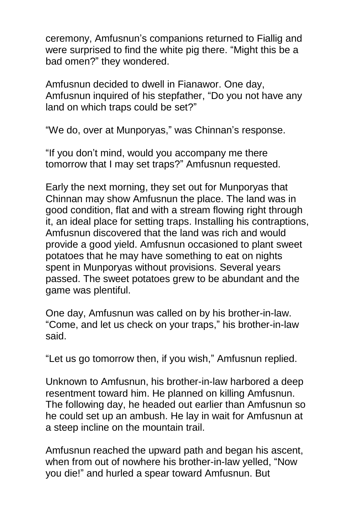ceremony, Amfusnun's companions returned to Fiallig and were surprised to find the white pig there. "Might this be a bad omen?" they wondered.

Amfusnun decided to dwell in Fianawor. One day, Amfusnun inquired of his stepfather, "Do you not have any land on which traps could be set?"

"We do, over at Munporyas," was Chinnan's response.

"If you don't mind, would you accompany me there tomorrow that I may set traps?" Amfusnun requested.

Early the next morning, they set out for Munporyas that Chinnan may show Amfusnun the place. The land was in good condition, flat and with a stream flowing right through it, an ideal place for setting traps. Installing his contraptions, Amfusnun discovered that the land was rich and would provide a good yield. Amfusnun occasioned to plant sweet potatoes that he may have something to eat on nights spent in Munporyas without provisions. Several years passed. The sweet potatoes grew to be abundant and the game was plentiful.

One day, Amfusnun was called on by his brother-in-law. "Come, and let us check on your traps," his brother-in-law said.

"Let us go tomorrow then, if you wish," Amfusnun replied.

Unknown to Amfusnun, his brother-in-law harbored a deep resentment toward him. He planned on killing Amfusnun. The following day, he headed out earlier than Amfusnun so he could set up an ambush. He lay in wait for Amfusnun at a steep incline on the mountain trail.

Amfusnun reached the upward path and began his ascent, when from out of nowhere his brother-in-law yelled, "Now you die!" and hurled a spear toward Amfusnun. But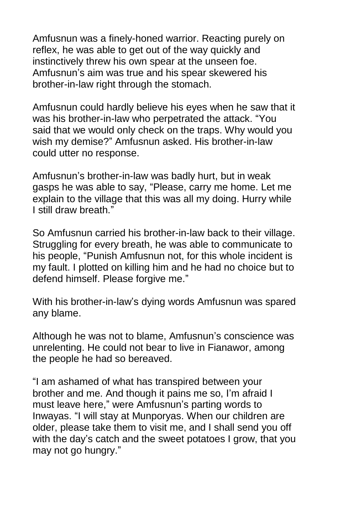Amfusnun was a finely-honed warrior. Reacting purely on reflex, he was able to get out of the way quickly and instinctively threw his own spear at the unseen foe. Amfusnun's aim was true and his spear skewered his brother-in-law right through the stomach.

Amfusnun could hardly believe his eyes when he saw that it was his brother-in-law who perpetrated the attack. "You said that we would only check on the traps. Why would you wish my demise?" Amfusnun asked. His brother-in-law could utter no response.

Amfusnun's brother-in-law was badly hurt, but in weak gasps he was able to say, "Please, carry me home. Let me explain to the village that this was all my doing. Hurry while I still draw breath."

So Amfusnun carried his brother-in-law back to their village. Struggling for every breath, he was able to communicate to his people, "Punish Amfusnun not, for this whole incident is my fault. I plotted on killing him and he had no choice but to defend himself. Please forgive me."

With his brother-in-law's dying words Amfusnun was spared any blame.

Although he was not to blame, Amfusnun's conscience was unrelenting. He could not bear to live in Fianawor, among the people he had so bereaved.

"I am ashamed of what has transpired between your brother and me. And though it pains me so, I'm afraid I must leave here," were Amfusnun's parting words to Inwayas. "I will stay at Munporyas. When our children are older, please take them to visit me, and I shall send you off with the day's catch and the sweet potatoes I grow, that you may not go hungry."